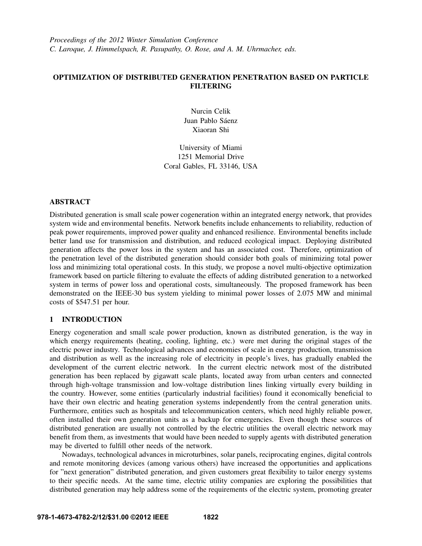# **OPTIMIZATION OF DISTRIBUTED GENERATION PENETRATION BASED ON PARTICLE FILTERING**

Nurcin Celik Juan Pablo Sáenz Xiaoran Shi

University of Miami 1251 Memorial Drive Coral Gables, FL 33146, USA

## **ABSTRACT**

Distributed generation is small scale power cogeneration within an integrated energy network, that provides system wide and environmental benefits. Network benefits include enhancements to reliability, reduction of peak power requirements, improved power quality and enhanced resilience. Environmental benefits include better land use for transmission and distribution, and reduced ecological impact. Deploying distributed generation affects the power loss in the system and has an associated cost. Therefore, optimization of the penetration level of the distributed generation should consider both goals of minimizing total power loss and minimizing total operational costs. In this study, we propose a novel multi-objective optimization framework based on particle filtering to evaluate the effects of adding distributed generation to a networked system in terms of power loss and operational costs, simultaneously. The proposed framework has been demonstrated on the IEEE-30 bus system yielding to minimal power losses of 2.075 MW and minimal costs of \$547.51 per hour.

# **1 INTRODUCTION**

Energy cogeneration and small scale power production, known as distributed generation, is the way in which energy requirements (heating, cooling, lighting, etc.) were met during the original stages of the electric power industry. Technological advances and economies of scale in energy production, transmission and distribution as well as the increasing role of electricity in people's lives, has gradually enabled the development of the current electric network. In the current electric network most of the distributed generation has been replaced by gigawatt scale plants, located away from urban centers and connected through high-voltage transmission and low-voltage distribution lines linking virtually every building in the country. However, some entities (particularly industrial facilities) found it economically beneficial to have their own electric and heating generation systems independently from the central generation units. Furthermore, entities such as hospitals and telecommunication centers, which need highly reliable power, often installed their own generation units as a backup for emergencies. Even though these sources of distributed generation are usually not controlled by the electric utilities the overall electric network may benefit from them, as investments that would have been needed to supply agents with distributed generation may be diverted to fulfill other needs of the network.

Nowadays, technological advances in microturbines, solar panels, reciprocating engines, digital controls and remote monitoring devices (among various others) have increased the opportunities and applications for "next generation" distributed generation, and given customers great flexibility to tailor energy systems to their specific needs. At the same time, electric utility companies are exploring the possibilities that distributed generation may help address some of the requirements of the electric system, promoting greater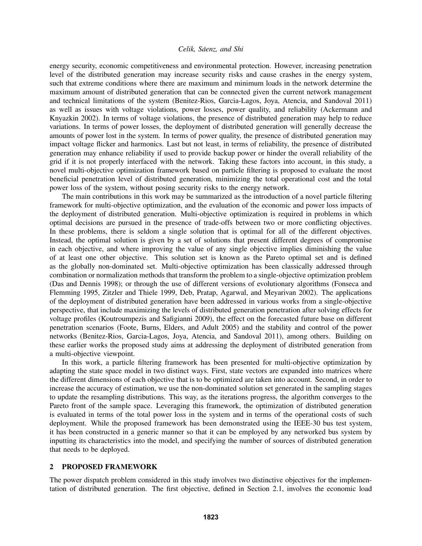energy security, economic competitiveness and environmental protection. However, increasing penetration level of the distributed generation may increase security risks and cause crashes in the energy system, such that extreme conditions where there are maximum and minimum loads in the network determine the maximum amount of distributed generation that can be connected given the current network management and technical limitations of the system (Benitez-Rios, Garcia-Lagos, Joya, Atencia, and Sandoval 2011) as well as issues with voltage violations, power losses, power quality, and reliability (Ackermann and Knyazkin 2002). In terms of voltage violations, the presence of distributed generation may help to reduce variations. In terms of power losses, the deployment of distributed generation will generally decrease the amounts of power lost in the system. In terms of power quality, the presence of distributed generation may impact voltage flicker and harmonics. Last but not least, in terms of reliability, the presence of distributed generation may enhance reliability if used to provide backup power or hinder the overall reliability of the grid if it is not properly interfaced with the network. Taking these factors into account, in this study, a novel multi-objective optimization framework based on particle filtering is proposed to evaluate the most beneficial penetration level of distributed generation, minimizing the total operational cost and the total power loss of the system, without posing security risks to the energy network.

The main contributions in this work may be summarized as the introduction of a novel particle filtering framework for multi-objective optimization, and the evaluation of the economic and power loss impacts of the deployment of distributed generation. Multi-objective optimization is required in problems in which optimal decisions are pursued in the presence of trade-offs between two or more conflicting objectives. In these problems, there is seldom a single solution that is optimal for all of the different objectives. Instead, the optimal solution is given by a set of solutions that present different degrees of compromise in each objective, and where improving the value of any single objective implies diminishing the value of at least one other objective. This solution set is known as the Pareto optimal set and is defined as the globally non-dominated set. Multi-objective optimization has been classically addressed through combination or normalization methods that transform the problem to a single-objective optimization problem (Das and Dennis 1998); or through the use of different versions of evolutionary algorithms (Fonseca and Flemming 1995, Zitzler and Thiele 1999, Deb, Pratap, Agarwal, and Meyarivan 2002). The applications of the deployment of distributed generation have been addressed in various works from a single-objective perspective, that include maximizing the levels of distributed generation penetration after solving effects for voltage profiles (Koutroumpezis and Safigianni 2009), the effect on the forecasted future base on different penetration scenarios (Foote, Burns, Elders, and Adult 2005) and the stability and control of the power networks (Benitez-Rios, Garcia-Lagos, Joya, Atencia, and Sandoval 2011), among others. Building on these earlier works the proposed study aims at addressing the deployment of distributed generation from a multi-objective viewpoint.

In this work, a particle filtering framework has been presented for multi-objective optimization by adapting the state space model in two distinct ways. First, state vectors are expanded into matrices where the different dimensions of each objective that is to be optimized are taken into account. Second, in order to increase the accuracy of estimation, we use the non-dominated solution set generated in the sampling stages to update the resampling distributions. This way, as the iterations progress, the algorithm converges to the Pareto front of the sample space. Leveraging this framework, the optimization of distributed generation is evaluated in terms of the total power loss in the system and in terms of the operational costs of such deployment. While the proposed framework has been demonstrated using the IEEE-30 bus test system, it has been constructed in a generic manner so that it can be employed by any networked bus system by inputting its characteristics into the model, and specifying the number of sources of distributed generation that needs to be deployed.

## **2 PROPOSED FRAMEWORK**

The power dispatch problem considered in this study involves two distinctive objectives for the implementation of distributed generation. The first objective, defined in Section 2.1, involves the economic load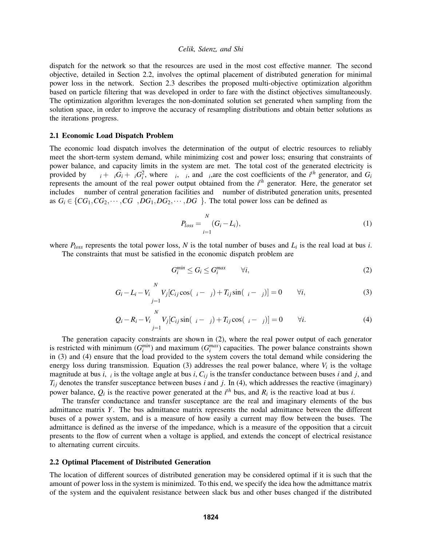dispatch for the network so that the resources are used in the most cost effective manner. The second objective, detailed in Section 2.2, involves the optimal placement of distributed generation for minimal power loss in the network. Section 2.3 describes the proposed multi-objective optimization algorithm based on particle filtering that was developed in order to fare with the distinct objectives simultaneously. The optimization algorithm leverages the non-dominated solution set generated when sampling from the solution space, in order to improve the accuracy of resampling distributions and obtain better solutions as the iterations progress.

### **2.1 Economic Load Dispatch Problem**

The economic load dispatch involves the determination of the output of electric resources to reliably meet the short-term system demand, while minimizing cost and power loss; ensuring that constraints of power balance, and capacity limits in the system are met. The total cost of the generated electricity is provided by  $\sum \alpha_i + \beta_i G_i + \gamma_i G_i^2$ , where  $\alpha_i$ ,  $\beta_i$ , and  $\gamma_i$ , are the cost coefficients of the *i*<sup>th</sup> generator, and  $G_i$ represents the amount of the real power output obtained from the *i th* generator. Here, the generator set includes  $\mu$  number of central generation facilities and  $\nu$  number of distributed generation units, presented as  $G_i \in \{CG_1, CG_2, \cdots, CG_\mu, DG_1, DG_2, \cdots, DG_\nu\}$ . The total power loss can be defined as

$$
P_{loss} = \sum_{i=1}^{N} (G_i - L_i),
$$
\n(1)

where *Ploss* represents the total power loss, *N* is the total number of buses and *L<sup>i</sup>* is the real load at bus *i*.

The constraints that must be satisfied in the economic dispatch problem are

$$
G_i^{min} \le G_i \le G_i^{max} \qquad \forall i,
$$
\n<sup>(2)</sup>

$$
G_i - L_i - V_i \sum_{j=1}^{N} V_j [C_{ij} \cos(\delta_i - \delta_j) + T_{ij} \sin(\delta_i - \delta_j)] = 0 \qquad \forall i,
$$
\n(3)

$$
Q_i - R_i - V_i \sum_{j=1}^N V_j [C_{ij} \sin(\delta_i - \delta_j) + T_{ij} \cos(\delta_i - \delta_j)] = 0 \qquad \forall i.
$$
 (4)

The generation capacity constraints are shown in (2), where the real power output of each generator is restricted with minimum  $(G_i^{min})$  and maximum  $(G_i^{max})$  capacities. The power balance constraints shown in (3) and (4) ensure that the load provided to the system covers the total demand while considering the energy loss during transmission. Equation  $(3)$  addresses the real power balance, where  $V_i$  is the voltage magnitude at bus  $i, \delta_i$  is the voltage angle at bus  $i, C_{ij}$  is the transfer conductance between buses  $i$  and  $j$ , and  $T_{ij}$  denotes the transfer susceptance between buses *i* and *j*. In (4), which addresses the reactive (imaginary) power balance,  $Q_i$  is the reactive power generated at the  $i<sup>th</sup>$  bus, and  $R_i$  is the reactive load at bus *i*.

The transfer conductance and transfer susceptance are the real and imaginary elements of the bus admittance matrix *Y*. The bus admittance matrix represents the nodal admittance between the different buses of a power system, and is a measure of how easily a current may flow between the buses. The admittance is defined as the inverse of the impedance, which is a measure of the opposition that a circuit presents to the flow of current when a voltage is applied, and extends the concept of electrical resistance to alternating current circuits.

### **2.2 Optimal Placement of Distributed Generation**

The location of different sources of distributed generation may be considered optimal if it is such that the amount of power loss in the system is minimized. To this end, we specify the idea how the admittance matrix of the system and the equivalent resistance between slack bus and other buses changed if the distributed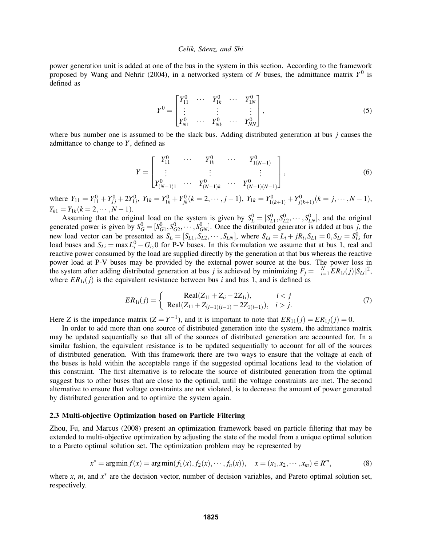power generation unit is added at one of the bus in the system in this section. According to the framework proposed by Wang and Nehrir (2004), in a networked system of *N* buses, the admittance matrix  $Y^0$  is defined as

$$
Y^{0} = \begin{bmatrix} Y_{11}^{0} & \cdots & Y_{1k}^{0} & \cdots & Y_{1N}^{0} \\ \vdots & & \vdots & & \vdots \\ Y_{N1}^{0} & \cdots & Y_{Nk}^{0} & \cdots & Y_{NN}^{0} \end{bmatrix},
$$
\n(5)

where bus number one is assumed to be the slack bus. Adding distributed generation at bus *j* causes the admittance to change to *Y*, defined as

$$
Y = \begin{bmatrix} Y_{11}^0 & \cdots & Y_{1k}^0 & \cdots & Y_{1(N-1)}^0 \\ \vdots & & \vdots & & \vdots \\ Y_{(N-1)1}^0 & \cdots & Y_{(N-1)k}^0 & \cdots & Y_{(N-1)(N-1)}^0 \end{bmatrix},
$$
(6)

where  $Y_{11} = Y_{11}^0 + Y_{jj}^0 + 2Y_{1j}^0$ ,  $Y_{1k} = Y_{1k}^0 + Y_{jk}^0$   $(k = 2, \dots, j - 1)$ ,  $Y_{1k} = Y_{1(k+1)}^0 + Y_{j(k+1)}^0$   $(k = j, \dots, N - 1)$ ,  $Y_{k1} = Y_{1k}$ ( $k = 2, \cdots, N-1$ ).

Assuming that the original load on the system is given by  $S_L^0 = [S_{L1}^0, S_{L2}^0, \cdots, S_{LN}^0]$ , and the original generated power is given by  $S_G^0 = [S_{G1}^0, S_{G2}^0, \cdots, S_{GN}^0]$ . Once the distributed generator is added at bus *j*, the new load vector can be presented as  $S_L = [S_{L1}, S_{L2}, \cdots, S_{LN}]$ , where  $S_{Li} = L_i + jR_i$ ,  $S_{L1} = 0$ ,  $S_{Li} = S_{Li}^0$  for load buses and  $S_{Li} = \max L_i^0 - G_i$ , 0 for P-V buses. In this formulation we assume that at bus 1, real and reactive power consumed by the load are supplied directly by the generation at that bus whereas the reactive power load at P-V buses may be provided by the external power source at the bus. The power loss in the system after adding distributed generation at bus *j* is achieved by minimizing  $F_j = \sum_{i=1}^{N} ER_{1i}(j)|S_{Li}|^2$ , where  $ER_{1i}(j)$  is the equivalent resistance between bus *i* and bus 1, and is defined as

$$
ER_{1i}(j) = \begin{cases} \text{Real}(Z_{11} + Z_{ii} - 2Z_{1i}), & i < j \\ \text{Real}(Z_{11} + Z_{(i-1)(i-1)} - 2Z_{1(i-1)}), & i > j. \end{cases}
$$
(7)

Here *Z* is the impedance matrix  $(Z = Y^{-1})$ , and it is important to note that  $ER_{11}(j) = ER_{1j}(j) = 0$ .

In order to add more than one source of distributed generation into the system, the admittance matrix may be updated sequentially so that all of the sources of distributed generation are accounted for. In a similar fashion, the equivalent resistance is to be updated sequentially to account for all of the sources of distributed generation. With this framework there are two ways to ensure that the voltage at each of the buses is held within the acceptable range if the suggested optimal locations lead to the violation of this constraint. The first alternative is to relocate the source of distributed generation from the optimal suggest bus to other buses that are close to the optimal, until the voltage constraints are met. The second alternative to ensure that voltage constraints are not violated, is to decrease the amount of power generated by distributed generation and to optimize the system again.

### **2.3 Multi-objective Optimization based on Particle Filtering**

Zhou, Fu, and Marcus (2008) present an optimization framework based on particle filtering that may be extended to multi-objective optimization by adjusting the state of the model from a unique optimal solution to a Pareto optimal solution set. The optimization problem may be represented by

$$
x^* = \arg\min f(x) = \arg\min(f_1(x), f_2(x), \cdots, f_n(x)), \quad x = (x_1, x_2, \cdots, x_m) \in R^m,
$$
 (8)

where  $x$ ,  $m$ , and  $x^*$  are the decision vector, number of decision variables, and Pareto optimal solution set, respectively.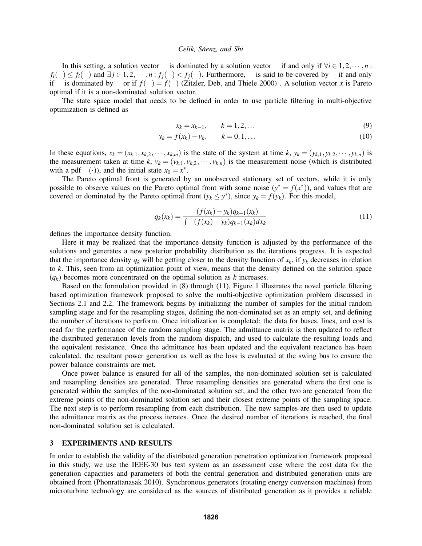In this setting, a solution vector  $\alpha$  is dominated by a solution vector  $\beta$  if and only if  $\forall i \in 1,2,\dots,n$ :  $f_i(\beta) \le f_i(\alpha)$  and  $\exists j \in 1, 2, \dots, n : f_j(\beta) < f_j(\alpha)$ . Furthermore,  $\alpha$  is said to be covered by  $\beta$  if and only if α is dominated by β or if  $f(\alpha) = f(\beta)$  (Zitzler, Deb, and Thiele 2000). A solution vector *x* is Pareto optimal if it is a non-dominated solution vector.

The state space model that needs to be defined in order to use particle filtering in multi-objective optimization is defined as

$$
x_k = x_{k-1}, \qquad k = 1, 2, \dots \tag{9}
$$

$$
y_k = f(x_k) - v_k, \qquad k = 0, 1, \dots
$$
 (10)

In these equations,  $x_k = (x_{k,1}, x_{k,2}, \dots, x_{k,m})$  is the state of the system at time k,  $y_k = (y_{k,1}, y_{k,2}, \dots, y_{k,n})$  is the measurement taken at time  $k$ ,  $v_k = (v_{k,1}, v_{k,2}, \dots, v_{k,n})$  is the measurement noise (which is distributed with a pdf  $\varphi(\cdot)$ ), and the initial state  $x_0 = x^*$ .

The Pareto optimal front is generated by an unobserved stationary set of vectors, while it is only possible to observe values on the Pareto optimal front with some noise  $(y^* = f(x^*))$ , and values that are covered or dominated by the Pareto optimal front  $(y_k \leq y^*)$ , since  $y_k = f(y_k)$ . For this model,

$$
q_k(x_k) = \frac{\varphi(f(x_k) - y_k)q_{k-1}(x_k)}{\int \varphi(f(x_k) - y_k)q_{k-1}(x_k)dx_k}
$$
(11)

defines the importance density function.

Here it may be realized that the importance density function is adjusted by the performance of the solutions and generates a new posterior probability distribution as the iterations progress. It is expected that the importance density  $q_k$  will be getting closer to the density function of  $x_k$ , if  $y_k$  decreases in relation to *k*. This, seen from an optimization point of view, means that the density defined on the solution space  $(q_k)$  becomes more concentrated on the optimal solution as *k* increases.

Based on the formulation provided in (8) through (11), Figure 1 illustrates the novel particle filtering based optimization framework proposed to solve the multi-objective optimization problem discussed in Sections 2.1 and 2.2. The framework begins by initializing the number of samples for the initial random sampling stage and for the resampling stages, defining the non-dominated set as an empty set, and defining the number of iterations to perform. Once initialization is completed; the data for buses, lines, and cost is read for the performance of the random sampling stage. The admittance matrix is then updated to reflect the distributed generation levels from the random dispatch, and used to calculate the resulting loads and the equivalent resistance. Once the admittance has been updated and the equivalent reactance has been calculated, the resultant power generation as well as the loss is evaluated at the swing bus to ensure the power balance constraints are met.

Once power balance is ensured for all of the samples, the non-dominated solution set is calculated and resampling densities are generated. Three resampling densities are generated where the first one is generated within the samples of the non-dominated solution set, and the other two are generated from the extreme points of the non-dominated solution set and their closest extreme points of the sampling space. The next step is to perform resampling from each distribution. The new samples are then used to update the admittance matrix as the process iterates. Once the desired number of iterations is reached, the final non-dominated solution set is calculated.

# **3 EXPERIMENTS AND RESULTS**

In order to establish the validity of the distributed generation penetration optimization framework proposed in this study, we use the IEEE-30 bus test system as an assessment case where the cost data for the generation capacities and parameters of both the central generation and distributed generation units are obtained from (Phonrattanasak 2010). Synchronous generators (rotating energy conversion machines) from microturbine technology are considered as the sources of distributed generation as it provides a reliable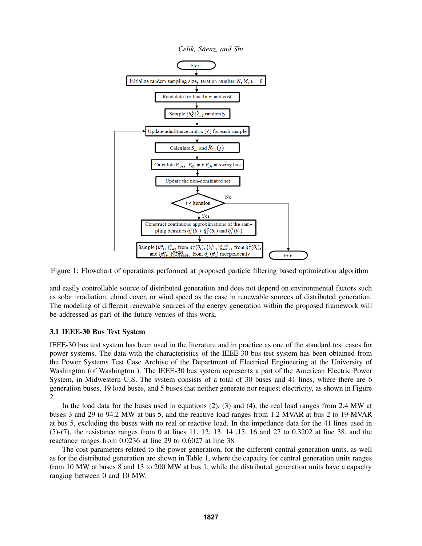



and easily controllable source of distributed generation and does not depend on environmental factors such as solar irradiation, cloud cover, or wind speed as the case in renewable sources of distributed generation. The modeling of different renewable sources of the energy generation within the proposed framework will be addressed as part of the future venues of this work.

# **3.1 IEEE-30 Bus Test System**

IEEE-30 bus test system has been used in the literature and in practice as one of the standard test cases for power systems. The data with the characteristics of the IEEE-30 bus test system has been obtained from the Power Systems Test Case Archive of the Department of Electrical Engineering at the University of Washington (of Washington ). The IEEE-30 bus system represents a part of the American Electric Power System, in Midwestern U.S. The system consists of a total of 30 buses and 41 lines, where there are 6 generation buses, 19 load buses, and 5 buses that neither generate nor request electricity, as shown in Figure 2.

In the load data for the buses used in equations (2), (3) and (4), the real load ranges from 2.4 MW at buses 3 and 29 to 94.2 MW at bus 5, and the reactive load ranges from 1.2 MVAR at bus 2 to 19 MVAR at bus 5, excluding the buses with no real or reactive load. In the impedance data for the 41 lines used in (5)-(7), the resistance ranges from 0 at lines 11, 12, 13, 14 ,15, 16 and 27 to 0.3202 at line 38, and the reactance ranges from 0.0236 at line 29 to 0.6027 at line 38.

The cost parameters related to the power generation, for the different central generation units, as well as for the distributed generation are shown in Table 1, where the capacity for central generation units ranges from 10 MW at buses 8 and 13 to 200 MW at bus 1, while the distributed generation units have a capacity ranging between 0 and 10 MW.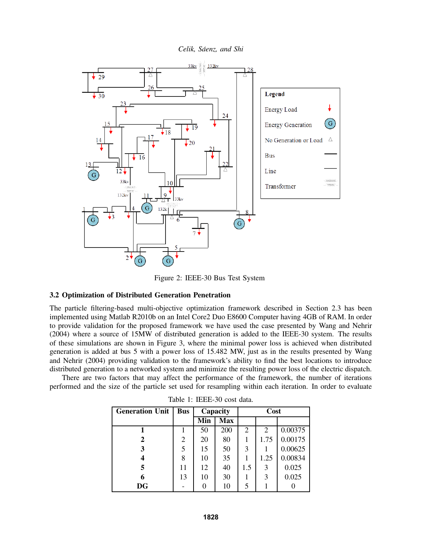

Figure 2: IEEE-30 Bus Test System

## **3.2 Optimization of Distributed Generation Penetration**

The particle filtering-based multi-objective optimization framework described in Section 2.3 has been implemented using Matlab R2010b on an Intel Core2 Duo E8600 Computer having 4GB of RAM. In order to provide validation for the proposed framework we have used the case presented by Wang and Nehrir (2004) where a source of 15MW of distributed generation is added to the IEEE-30 system. The results of these simulations are shown in Figure 3, where the minimal power loss is achieved when distributed generation is added at bus 5 with a power loss of 15.482 MW, just as in the results presented by Wang and Nehrir (2004) providing validation to the framework's ability to find the best locations to introduce distributed generation to a networked system and minimize the resulting power loss of the electric dispatch.

There are two factors that may affect the performance of the framework, the number of iterations performed and the size of the particle set used for resampling within each iteration. In order to evaluate

| <b>Generation Unit</b> | <b>Bus</b> | Capacity |            | Cost           |                |         |
|------------------------|------------|----------|------------|----------------|----------------|---------|
|                        |            | Min      | <b>Max</b> | $\alpha$       |                |         |
|                        |            | 50       | 200        | $\overline{2}$ | $\overline{c}$ | 0.00375 |
| 2                      | 2          | 20       | 80         |                | 1.75           | 0.00175 |
| 3                      | 5          | 15       | 50         | 3              |                | 0.00625 |
| 4                      | 8          | 10       | 35         |                | 1.25           | 0.00834 |
| 5                      | 11         | 12       | 40         | 1.5            | 3              | 0.025   |
| 6                      | 13         | 10       | 30         |                | 3              | 0.025   |
| <b>DG</b>              |            |          | 10         |                |                |         |

Table 1: IEEE-30 cost data.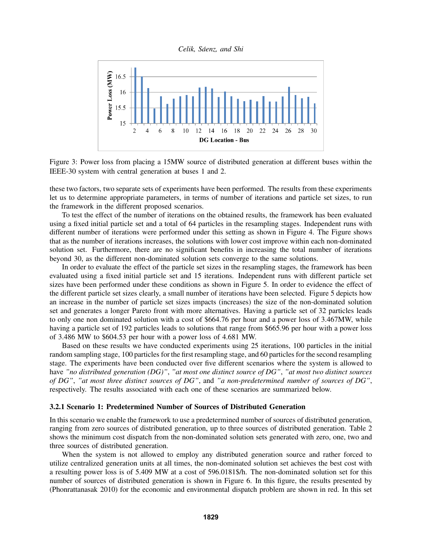*Celik, Saenz, and Shi ´*



Figure 3: Power loss from placing a 15MW source of distributed generation at different buses within the IEEE-30 system with central generation at buses 1 and 2.

these two factors, two separate sets of experiments have been performed. The results from these experiments let us to determine appropriate parameters, in terms of number of iterations and particle set sizes, to run the framework in the different proposed scenarios.

To test the effect of the number of iterations on the obtained results, the framework has been evaluated using a fixed initial particle set and a total of 64 particles in the resampling stages. Independent runs with different number of iterations were performed under this setting as shown in Figure 4. The Figure shows that as the number of iterations increases, the solutions with lower cost improve within each non-dominated solution set. Furthermore, there are no significant benefits in increasing the total number of iterations beyond 30, as the different non-dominated solution sets converge to the same solutions.

In order to evaluate the effect of the particle set sizes in the resampling stages, the framework has been evaluated using a fixed initial particle set and 15 iterations. Independent runs with different particle set sizes have been performed under these conditions as shown in Figure 5. In order to evidence the effect of the different particle set sizes clearly, a small number of iterations have been selected. Figure 5 depicts how an increase in the number of particle set sizes impacts (increases) the size of the non-dominated solution set and generates a longer Pareto front with more alternatives. Having a particle set of 32 particles leads to only one non dominated solution with a cost of \$664.76 per hour and a power loss of 3.467MW, while having a particle set of 192 particles leads to solutions that range from \$665.96 per hour with a power loss of 3.486 MW to \$604.53 per hour with a power loss of 4.681 MW.

Based on these results we have conducted experiments using 25 iterations, 100 particles in the initial random sampling stage, 100 particles for the first resampling stage, and 60 particles for the second resampling stage. The experiments have been conducted over five different scenarios where the system is allowed to have *"no distributed generation (DG)"*, *"at most one distinct source of DG"*, *"at most two distinct sources of DG"*, *"at most three distinct sources of DG"*, and *"a non-predetermined number of sources of DG"*, respectively. The results associated with each one of these scenarios are summarized below.

## **3.2.1 Scenario 1: Predetermined Number of Sources of Distributed Generation**

In this scenario we enable the framework to use a predetermined number of sources of distributed generation, ranging from zero sources of distributed generation, up to three sources of distributed generation. Table 2 shows the minimum cost dispatch from the non-dominated solution sets generated with zero, one, two and three sources of distributed generation.

When the system is not allowed to employ any distributed generation source and rather forced to utilize centralized generation units at all times, the non-dominated solution set achieves the best cost with a resulting power loss is of 5.409 MW at a cost of 596.0181\$/h. The non-dominated solution set for this number of sources of distributed generation is shown in Figure 6. In this figure, the results presented by (Phonrattanasak 2010) for the economic and environmental dispatch problem are shown in red. In this set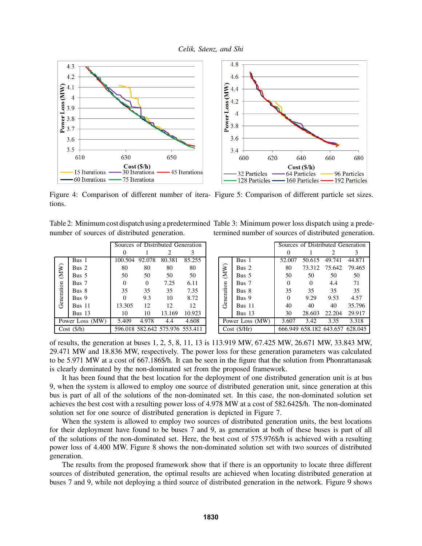





Figure 4: Comparison of different number of itera- Figure 5: Comparison of different particle set sizes. tions.

number of sources of distributed generation.

|                    |               | Sources of Distributed Generation |       |                                 |        |  |
|--------------------|---------------|-----------------------------------|-------|---------------------------------|--------|--|
|                    |               |                                   |       | 2                               | 3      |  |
| (MN)<br>Generation | Bus 1         | 100.504 92.078                    |       | 80.381                          | 85.255 |  |
|                    | Bus 2         | 80                                | 80    | 80                              | 80     |  |
|                    | Bus 5         | 50                                | 50    | 50                              | 50     |  |
|                    | Bus 7         | 0                                 | 0     | 7.25                            | 6.11   |  |
|                    | Bus 8         | 35                                | 35    | 35                              | 7.35   |  |
|                    | Bus 9         | 0                                 | 9.3   | 10                              | 8.72   |  |
|                    | <b>Bus</b> 11 | 13.305                            | 12    | 12                              | 12     |  |
|                    | Bus $13$      | 10                                | 10    | 13.169                          | 10.923 |  |
| Power Loss (MW)    |               | 5.409                             | 4.978 | 4.4                             | 4.608  |  |
| Cost(S/h)          |               |                                   |       | 596.018 582.642 575.976 553.411 |        |  |

Table 2: Minimum cost dispatch using a predetermined Table 3: Minimum power loss dispatch using a predetermined number of sources of distributed generation.

|                               |                  | Sources of Distributed Generation |          |               |                                 |  |  |
|-------------------------------|------------------|-----------------------------------|----------|---------------|---------------------------------|--|--|
|                               |                  | 0                                 |          | 2             | 3                               |  |  |
| $(\mathsf{MW})$<br>Generation | Bus 1            | 52.007                            |          | 50.615 49.741 | 44.871                          |  |  |
|                               | Bus <sub>2</sub> | 80                                | 73.312   | 75.642 79.465 |                                 |  |  |
|                               | Bus 5            | 50                                | 50       | 50            | 50                              |  |  |
|                               | Bus 7            | 0                                 | $\Omega$ | 4.4           | 71                              |  |  |
|                               | Bus 8            | 35                                | 35       | 35            | 35                              |  |  |
|                               | Bus 9            | $\Omega$                          | 9.29     | 9.53          | 4.57                            |  |  |
|                               | <b>Bus 11</b>    | 40                                | 40       | 40            | 35.796                          |  |  |
|                               | Bus 13           | 30                                | 28.603   | 22.204        | 29.917                          |  |  |
| Power Loss (MW)               |                  | 3.607                             | 3.42     | 3.35          | 3.318                           |  |  |
| Cost (S/Hr)                   |                  |                                   |          |               | 666.949 658.182 643.657 628.045 |  |  |

of results, the generation at buses 1, 2, 5, 8, 11, 13 is 113.919 MW, 67.425 MW, 26.671 MW, 33.843 MW, 29.471 MW and 18.836 MW, respectively. The power loss for these generation parameters was calculated to be 5.971 MW at a cost of 667.186\$/h. It can be seen in the figure that the solution from Phonrattanasak is clearly dominated by the non-dominated set from the proposed framework.

It has been found that the best location for the deployment of one distributed generation unit is at bus 9, when the system is allowed to employ one source of distributed generation unit, since generation at this bus is part of all of the solutions of the non-dominated set. In this case, the non-dominated solution set achieves the best cost with a resulting power loss of 4.978 MW at a cost of 582.642\$/h. The non-dominated solution set for one source of distributed generation is depicted in Figure 7.

When the system is allowed to employ two sources of distributed generation units, the best locations for their deployment have found to be buses 7 and 9, as generation at both of these buses is part of all of the solutions of the non-dominated set. Here, the best cost of 575.976\$/h is achieved with a resulting power loss of 4.400 MW. Figure 8 shows the non-dominated solution set with two sources of distributed generation.

The results from the proposed framework show that if there is an opportunity to locate three different sources of distributed generation, the optimal results are achieved when locating distributed generation at buses 7 and 9, while not deploying a third source of distributed generation in the network. Figure 9 shows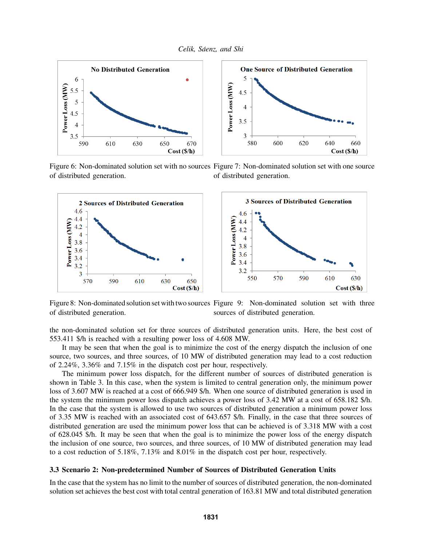

Figure 6: Non-dominated solution set with no sources Figure 7: Non-dominated solution set with one source of distributed generation. of distributed generation.



Figure 8: Non-dominated solution set with two sources Figure 9: Non-dominated solution set with three of distributed generation. sources of distributed generation.

the non-dominated solution set for three sources of distributed generation units. Here, the best cost of 553.411 \$/h is reached with a resulting power loss of 4.608 MW.

It may be seen that when the goal is to minimize the cost of the energy dispatch the inclusion of one source, two sources, and three sources, of 10 MW of distributed generation may lead to a cost reduction of 2.24%, 3.36% and 7.15% in the dispatch cost per hour, respectively.

The minimum power loss dispatch, for the different number of sources of distributed generation is shown in Table 3. In this case, when the system is limited to central generation only, the minimum power loss of 3.607 MW is reached at a cost of 666.949 \$/h. When one source of distributed generation is used in the system the minimum power loss dispatch achieves a power loss of 3.42 MW at a cost of 658.182 \$/h. In the case that the system is allowed to use two sources of distributed generation a minimum power loss of 3.35 MW is reached with an associated cost of 643.657 \$/h. Finally, in the case that three sources of distributed generation are used the minimum power loss that can be achieved is of 3.318 MW with a cost of 628.045 \$/h. It may be seen that when the goal is to minimize the power loss of the energy dispatch the inclusion of one source, two sources, and three sources, of 10 MW of distributed generation may lead to a cost reduction of 5.18%, 7.13% and 8.01% in the dispatch cost per hour, respectively.

#### **3.3 Scenario 2: Non-predetermined Number of Sources of Distributed Generation Units**

In the case that the system has no limit to the number of sources of distributed generation, the non-dominated solution set achieves the best cost with total central generation of 163.81 MW and total distributed generation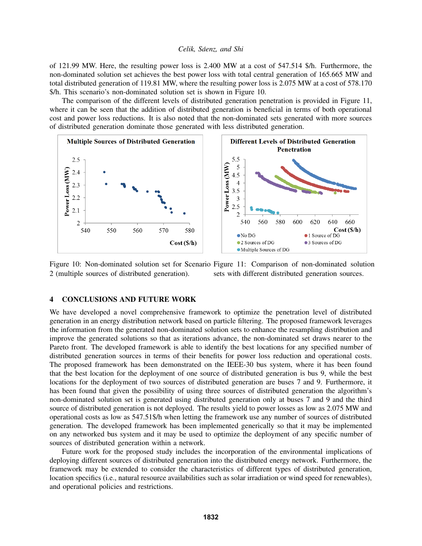of 121.99 MW. Here, the resulting power loss is 2.400 MW at a cost of 547.514 \$/h. Furthermore, the non-dominated solution set achieves the best power loss with total central generation of 165.665 MW and total distributed generation of 119.81 MW, where the resulting power loss is 2.075 MW at a cost of 578.170 \$/h. This scenario's non-dominated solution set is shown in Figure 10.

The comparison of the different levels of distributed generation penetration is provided in Figure 11, where it can be seen that the addition of distributed generation is beneficial in terms of both operational cost and power loss reductions. It is also noted that the non-dominated sets generated with more sources of distributed generation dominate those generated with less distributed generation.



Figure 10: Non-dominated solution set for Scenario Figure 11: Comparison of non-dominated solution 2 (multiple sources of distributed generation). sets with different distributed generation sources.

## **4 CONCLUSIONS AND FUTURE WORK**

We have developed a novel comprehensive framework to optimize the penetration level of distributed generation in an energy distribution network based on particle filtering. The proposed framework leverages the information from the generated non-dominated solution sets to enhance the resampling distribution and improve the generated solutions so that as iterations advance, the non-dominated set draws nearer to the Pareto front. The developed framework is able to identify the best locations for any specified number of distributed generation sources in terms of their benefits for power loss reduction and operational costs. The proposed framework has been demonstrated on the IEEE-30 bus system, where it has been found that the best location for the deployment of one source of distributed generation is bus 9, while the best locations for the deployment of two sources of distributed generation are buses 7 and 9. Furthermore, it has been found that given the possibility of using three sources of distributed generation the algorithm's non-dominated solution set is generated using distributed generation only at buses 7 and 9 and the third source of distributed generation is not deployed. The results yield to power losses as low as 2.075 MW and operational costs as low as 547.51\$/h when letting the framework use any number of sources of distributed generation. The developed framework has been implemented generically so that it may be implemented on any networked bus system and it may be used to optimize the deployment of any specific number of sources of distributed generation within a network.

Future work for the proposed study includes the incorporation of the environmental implications of deploying different sources of distributed generation into the distributed energy network. Furthermore, the framework may be extended to consider the characteristics of different types of distributed generation, location specifics (i.e., natural resource availabilities such as solar irradiation or wind speed for renewables), and operational policies and restrictions.